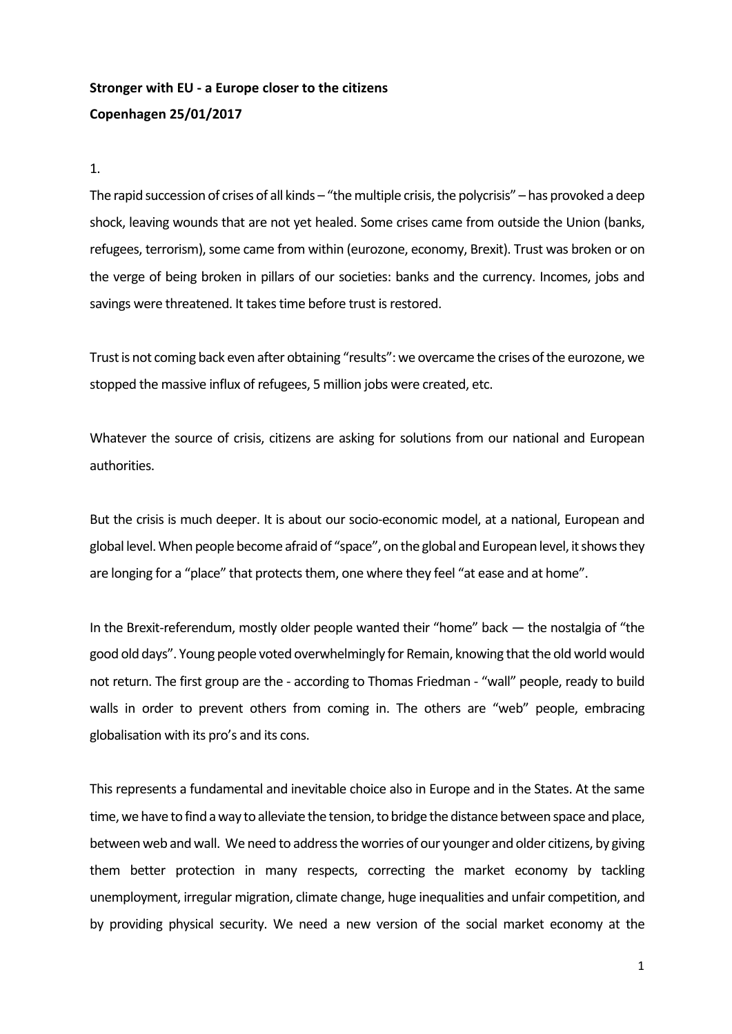# **Stronger with EU - a Europe closer to the citizens Copenhagen 25/01/2017**

1.

The rapid succession of crises of all kinds – "the multiple crisis, the polycrisis" – has provoked a deep shock, leaving wounds that are not yet healed. Some crises came from outside the Union (banks, refugees, terrorism), some came from within (eurozone, economy, Brexit). Trust was broken or on the verge of being broken in pillars of our societies: banks and the currency. Incomes, jobs and savings were threatened. It takes time before trust is restored.

Trust is not coming back even after obtaining "results": we overcame the crises of the eurozone, we stopped the massive influx of refugees, 5 million jobs were created, etc.

Whatever the source of crisis, citizens are asking for solutions from our national and European authorities.

But the crisis is much deeper. It is about our socio-economic model, at a national, European and global level. When people become afraid of "space", on the global and European level, it shows they are longing for a "place" that protects them, one where they feel "at ease and at home".

In the Brexit-referendum, mostly older people wanted their "home" back  $-$  the nostalgia of "the good old days". Young people voted overwhelmingly for Remain, knowing that the old world would not return. The first group are the - according to Thomas Friedman - "wall" people, ready to build walls in order to prevent others from coming in. The others are "web" people, embracing globalisation with its pro's and its cons.

This represents a fundamental and inevitable choice also in Europe and in the States. At the same time, we have to find a way to alleviate the tension, to bridge the distance between space and place, between web and wall. We need to address the worries of our younger and older citizens, by giving them better protection in many respects, correcting the market economy by tackling unemployment, irregular migration, climate change, huge inequalities and unfair competition, and by providing physical security. We need a new version of the social market economy at the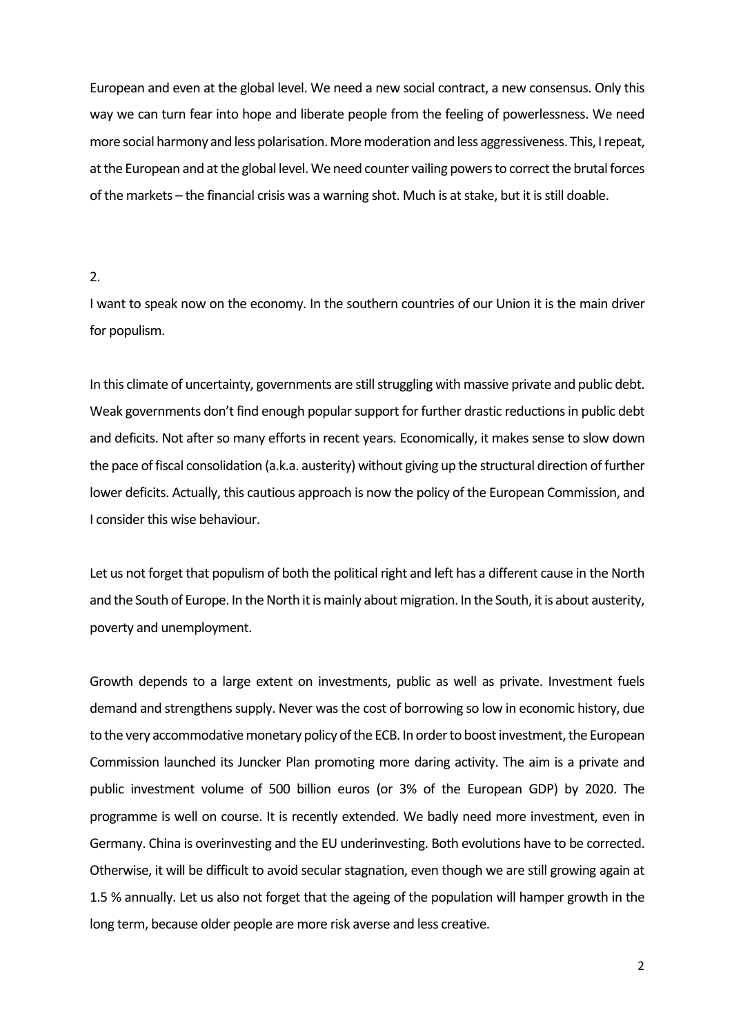European and even at the global level. We need a new social contract, a new consensus. Only this way we can turn fear into hope and liberate people from the feeling of powerlessness. We need more social harmony and less polarisation. More moderation and less aggressiveness. This, I repeat, at the European and at the global level. We need counter vailing powers to correct the brutal forces of the markets – the financial crisis was a warning shot. Much is at stake, but it is still doable.

#### 2.

I want to speak now on the economy. In the southern countries of our Union it is the main driver for populism.

In this climate of uncertainty, governments are still struggling with massive private and public debt. Weak governments don't find enough popular support for further drastic reductions in public debt and deficits. Not after so many efforts in recent years. Economically, it makes sense to slow down the pace of fiscal consolidation (a.k.a. austerity) without giving up the structural direction of further lower deficits. Actually, this cautious approach is now the policy of the European Commission, and I consider this wise behaviour.

Let us not forget that populism of both the political right and left has a different cause in the North and the South of Europe. In the North it is mainly about migration. In the South, it is about austerity, poverty and unemployment.

Growth depends to a large extent on investments, public as well as private. Investment fuels demand and strengthens supply. Never was the cost of borrowing so low in economic history, due to the very accommodative monetary policy of the ECB. In order to boost investment, the European Commission launched its Juncker Plan promoting more daring activity. The aim is a private and public investment volume of 500 billion euros (or 3% of the European GDP) by 2020. The programme is well on course. It is recently extended. We badly need more investment, even in Germany. China is overinvesting and the EU underinvesting. Both evolutions have to be corrected. Otherwise, it will be difficult to avoid secular stagnation, even though we are still growing again at 1.5 % annually. Let us also not forget that the ageing of the population will hamper growth in the long term, because older people are more risk averse and less creative.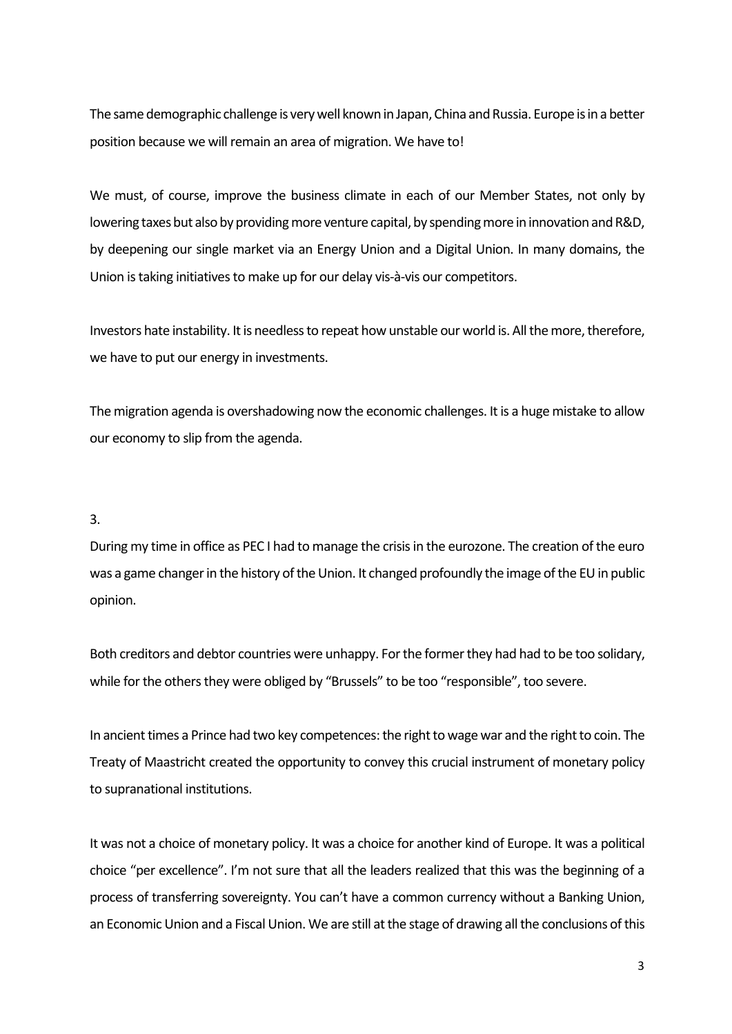The same demographic challenge is very well known in Japan, China and Russia. Europe is in a better position because we will remain an area of migration. We have to!

We must, of course, improve the business climate in each of our Member States, not only by lowering taxes but also by providing more venture capital, by spending more in innovation and R&D, by deepening our single market via an Energy Union and a Digital Union. In many domains, the Union is taking initiatives to make up for our delay vis-à-vis our competitors.

Investors hate instability. It is needless to repeat how unstable our world is. All the more, therefore, we have to put our energy in investments.

The migration agenda is overshadowing now the economic challenges. It is a huge mistake to allow our economy to slip from the agenda.

# 3.

During my time in office as PEC I had to manage the crisis in the eurozone. The creation of the euro was a game changer in the history of the Union. It changed profoundly the image of the EU in public opinion.

Both creditors and debtor countries were unhappy. For the former they had had to be too solidary, while for the others they were obliged by "Brussels" to be too "responsible", too severe.

In ancient times a Prince had two key competences: the right to wage war and the right to coin. The Treaty of Maastricht created the opportunity to convey this crucial instrument of monetary policy to supranational institutions.

It was not a choice of monetary policy. It was a choice for another kind of Europe. It was a political choice "per excellence". I'm not sure that all the leaders realized that this was the beginning of a process of transferring sovereignty. You can't have a common currency without a Banking Union, an Economic Union and a Fiscal Union. We are still at the stage of drawing all the conclusions of this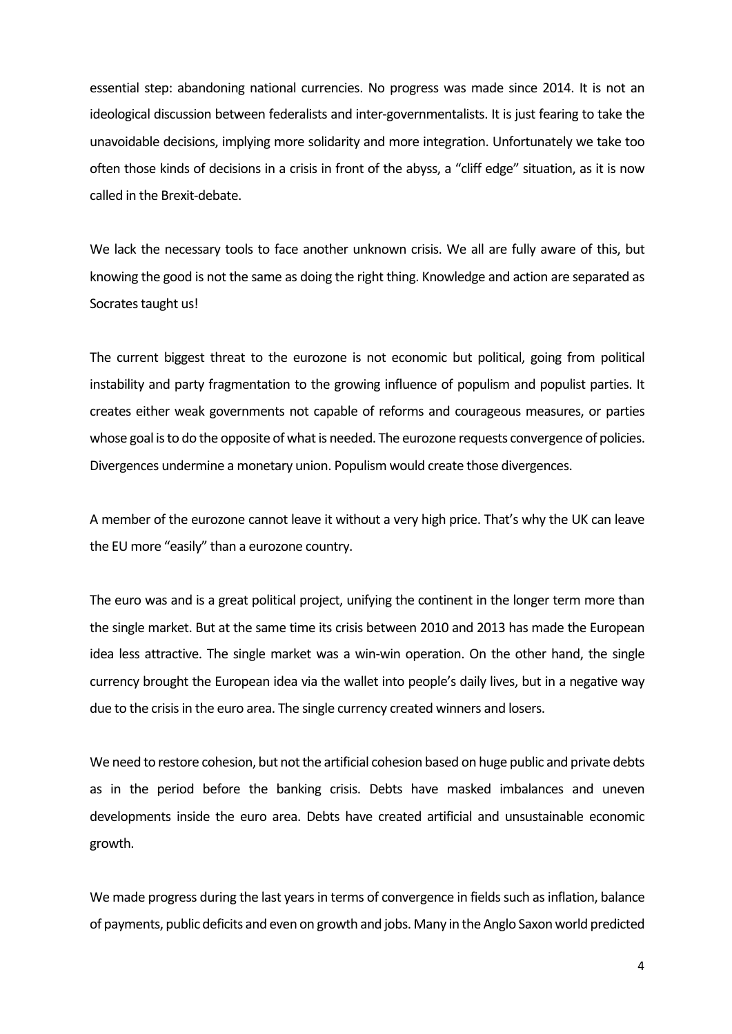essential step: abandoning national currencies. No progress was made since 2014. It is not an ideological discussion between federalists and inter-governmentalists. It is just fearing to take the unavoidable decisions, implying more solidarity and more integration. Unfortunately we take too often those kinds of decisions in a crisis in front of the abyss, a "cliff edge" situation, as it is now called in the Brexit-debate.

We lack the necessary tools to face another unknown crisis. We all are fully aware of this, but knowing the good is not the same as doing the right thing. Knowledge and action are separated as Socrates taught us!

The current biggest threat to the eurozone is not economic but political, going from political instability and party fragmentation to the growing influence of populism and populist parties. It creates either weak governments not capable of reforms and courageous measures, or parties whose goal is to do the opposite of what is needed. The eurozone requests convergence of policies. Divergences undermine a monetary union. Populism would create those divergences.

A member of the eurozone cannot leave it without a very high price. That's why the UK can leave the EU more "easily" than a eurozone country.

The euro was and is a great political project, unifying the continent in the longer term more than the single market. But at the same time its crisis between 2010 and 2013 has made the European idea less attractive. The single market was a win-win operation. On the other hand, the single currency brought the European idea via the wallet into people's daily lives, but in a negative way due to the crisis in the euro area. The single currency created winners and losers.

We need to restore cohesion, but not the artificial cohesion based on huge public and private debts as in the period before the banking crisis. Debts have masked imbalances and uneven developments inside the euro area. Debts have created artificial and unsustainable economic growth.

We made progress during the last years in terms of convergence in fields such as inflation, balance of payments, public deficits and even on growth and jobs. Many in the Anglo Saxon world predicted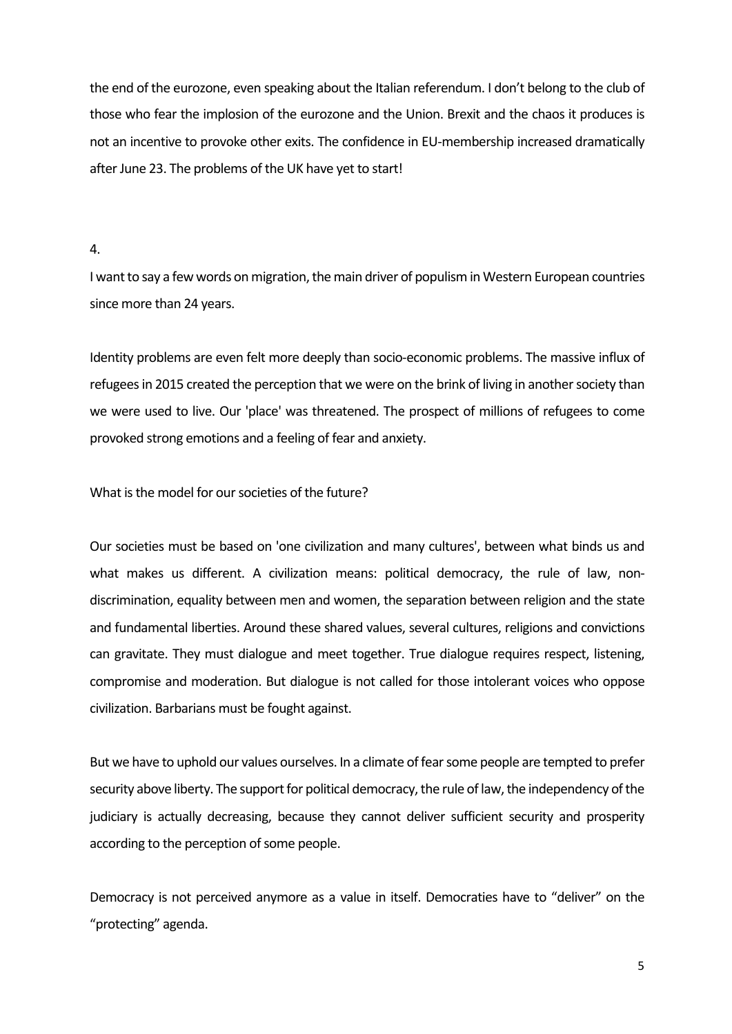the end of the eurozone, even speaking about the Italian referendum. I don't belong to the club of those who fear the implosion of the eurozone and the Union. Brexit and the chaos it produces is not an incentive to provoke other exits. The confidence in EU-membership increased dramatically after June 23. The problems of the UK have yet to start!

### 4.

I want to say a few words on migration, the main driver of populism in Western European countries since more than 24 years.

Identity problems are even felt more deeply than socio-economic problems. The massive influx of refugees in 2015 created the perception that we were on the brink of living in another society than we were used to live. Our 'place' was threatened. The prospect of millions of refugees to come provoked strong emotions and a feeling of fear and anxiety.

What is the model for our societies of the future?

Our societies must be based on 'one civilization and many cultures', between what binds us and what makes us different. A civilization means: political democracy, the rule of law, nondiscrimination, equality between men and women, the separation between religion and the state and fundamental liberties. Around these shared values, several cultures, religions and convictions can gravitate. They must dialogue and meet together. True dialogue requires respect, listening, compromise and moderation. But dialogue is not called for those intolerant voices who oppose civilization. Barbarians must be fought against.

But we have to uphold our values ourselves. In a climate of fear some people are tempted to prefer security above liberty. The support for political democracy, the rule of law, the independency of the judiciary is actually decreasing, because they cannot deliver sufficient security and prosperity according to the perception of some people.

Democracy is not perceived anymore as a value in itself. Democraties have to "deliver" on the "protecting" agenda.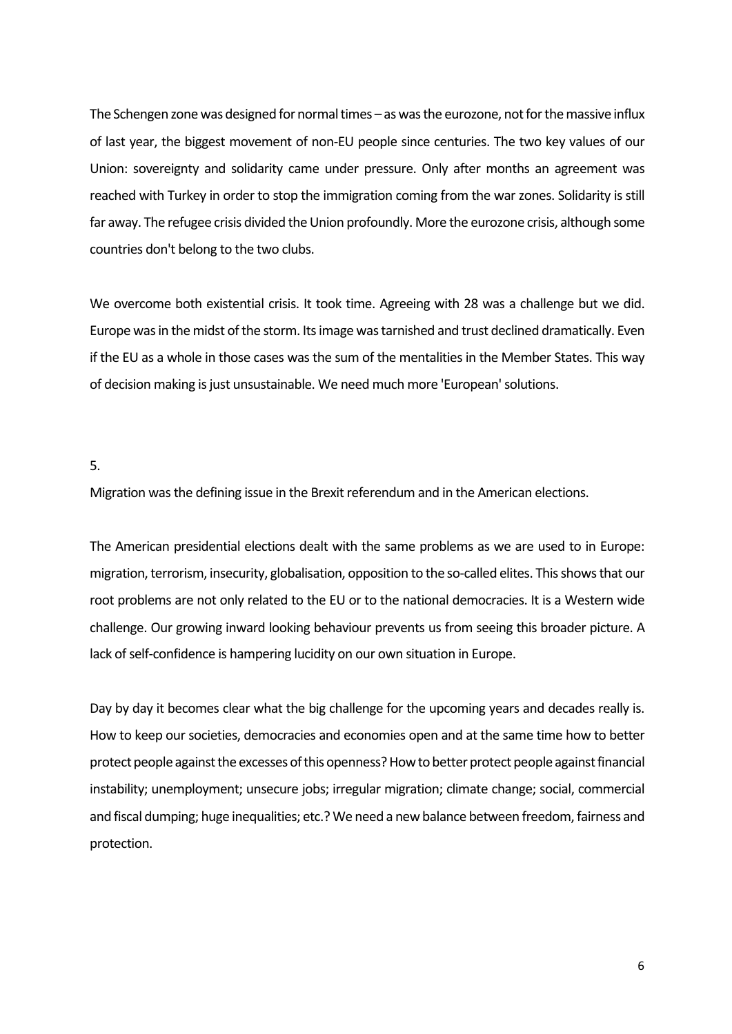The Schengen zone was designed for normal times – as was the eurozone, not for the massive influx of last year, the biggest movement of non-EU people since centuries. The two key values of our Union: sovereignty and solidarity came under pressure. Only after months an agreement was reached with Turkey in order to stop the immigration coming from the war zones. Solidarity is still far away. The refugee crisis divided the Union profoundly. More the eurozone crisis, although some countries don't belong to the two clubs.

We overcome both existential crisis. It took time. Agreeing with 28 was a challenge but we did. Europe was in the midst of the storm. Its image was tarnished and trust declined dramatically. Even if the EU as a whole in those cases was the sum of the mentalities in the Member States. This way of decision making is just unsustainable. We need much more 'European' solutions.

5. 

Migration was the defining issue in the Brexit referendum and in the American elections.

The American presidential elections dealt with the same problems as we are used to in Europe: migration, terrorism, insecurity, globalisation, opposition to the so-called elites. This shows that our root problems are not only related to the EU or to the national democracies. It is a Western wide challenge. Our growing inward looking behaviour prevents us from seeing this broader picture. A lack of self-confidence is hampering lucidity on our own situation in Europe.

Day by day it becomes clear what the big challenge for the upcoming years and decades really is. How to keep our societies, democracies and economies open and at the same time how to better protect people against the excesses of this openness? How to better protect people against financial instability; unemployment; unsecure jobs; irregular migration; climate change; social, commercial and fiscal dumping; huge inequalities; etc.? We need a new balance between freedom, fairness and protection.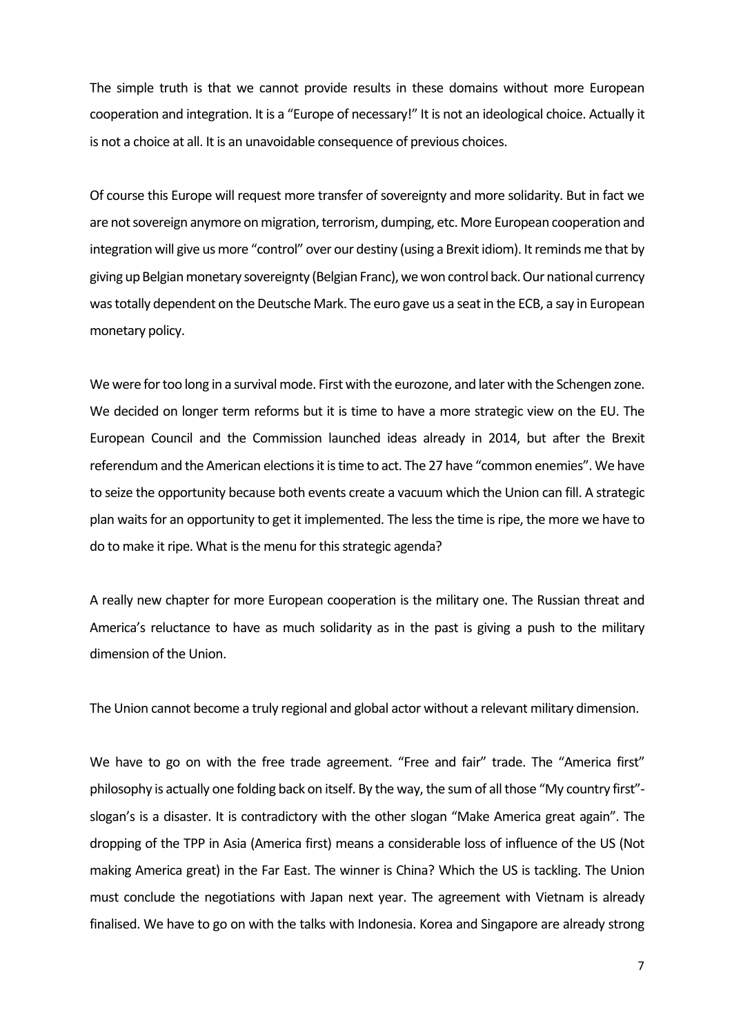The simple truth is that we cannot provide results in these domains without more European cooperation and integration. It is a "Europe of necessary!" It is not an ideological choice. Actually it is not a choice at all. It is an unavoidable consequence of previous choices.

Of course this Europe will request more transfer of sovereignty and more solidarity. But in fact we are not sovereign anymore on migration, terrorism, dumping, etc. More European cooperation and integration will give us more "control" over our destiny (using a Brexit idiom). It reminds me that by giving up Belgian monetary sovereignty (Belgian Franc), we won control back. Our national currency was totally dependent on the Deutsche Mark. The euro gave us a seat in the ECB, a say in European monetary policy.

We were for too long in a survival mode. First with the eurozone, and later with the Schengen zone. We decided on longer term reforms but it is time to have a more strategic view on the EU. The European Council and the Commission launched ideas already in 2014, but after the Brexit referendum and the American elections it is time to act. The 27 have "common enemies". We have to seize the opportunity because both events create a vacuum which the Union can fill. A strategic plan waits for an opportunity to get it implemented. The less the time is ripe, the more we have to do to make it ripe. What is the menu for this strategic agenda?

A really new chapter for more European cooperation is the military one. The Russian threat and America's reluctance to have as much solidarity as in the past is giving a push to the military dimension of the Union.

The Union cannot become a truly regional and global actor without a relevant military dimension.

We have to go on with the free trade agreement. "Free and fair" trade. The "America first" philosophy is actually one folding back on itself. By the way, the sum of all those "My country first"slogan's is a disaster. It is contradictory with the other slogan "Make America great again". The dropping of the TPP in Asia (America first) means a considerable loss of influence of the US (Not making America great) in the Far East. The winner is China? Which the US is tackling. The Union must conclude the negotiations with Japan next year. The agreement with Vietnam is already finalised. We have to go on with the talks with Indonesia. Korea and Singapore are already strong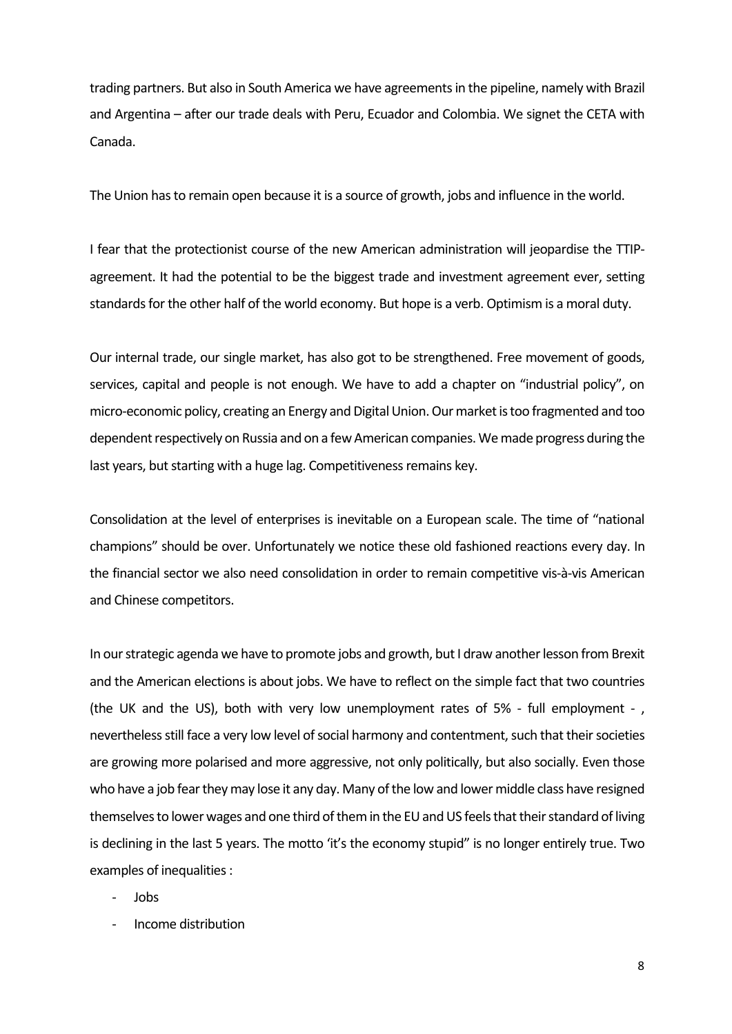trading partners. But also in South America we have agreements in the pipeline, namely with Brazil and Argentina – after our trade deals with Peru, Ecuador and Colombia. We signet the CETA with Canada.

The Union has to remain open because it is a source of growth, jobs and influence in the world.

I fear that the protectionist course of the new American administration will jeopardise the TTIPagreement. It had the potential to be the biggest trade and investment agreement ever, setting standards for the other half of the world economy. But hope is a verb. Optimism is a moral duty.

Our internal trade, our single market, has also got to be strengthened. Free movement of goods, services, capital and people is not enough. We have to add a chapter on "industrial policy", on micro-economic policy, creating an Energy and Digital Union. Our market is too fragmented and too dependent respectively on Russia and on a few American companies. We made progress during the last years, but starting with a huge lag. Competitiveness remains key.

Consolidation at the level of enterprises is inevitable on a European scale. The time of "national champions" should be over. Unfortunately we notice these old fashioned reactions every day. In the financial sector we also need consolidation in order to remain competitive vis-à-vis American and Chinese competitors.

In our strategic agenda we have to promote jobs and growth, but I draw another lesson from Brexit and the American elections is about jobs. We have to reflect on the simple fact that two countries (the UK and the US), both with very low unemployment rates of  $5\%$  - full employment -, nevertheless still face a very low level of social harmony and contentment, such that their societies are growing more polarised and more aggressive, not only politically, but also socially. Even those who have a job fear they may lose it any day. Many of the low and lower middle class have resigned themselves to lower wages and one third of them in the EU and US feels that their standard of living is declining in the last 5 years. The motto 'it's the economy stupid" is no longer entirely true. Two examples of inequalities :

- Jobs

- Income distribution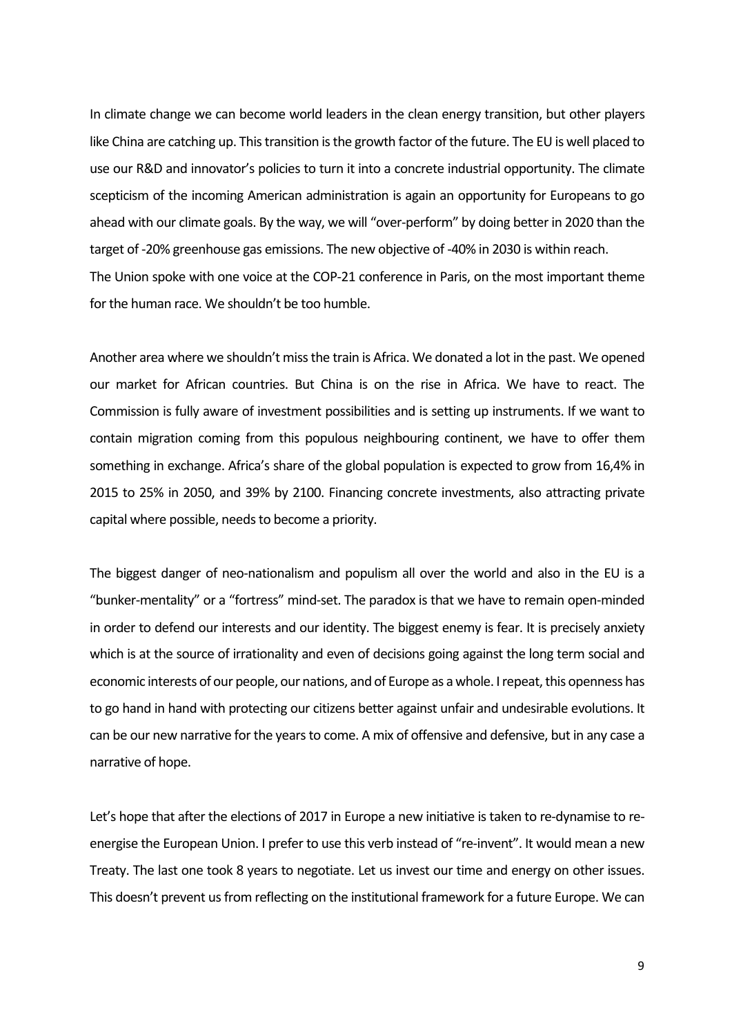In climate change we can become world leaders in the clean energy transition, but other players like China are catching up. This transition is the growth factor of the future. The EU is well placed to use our R&D and innovator's policies to turn it into a concrete industrial opportunity. The climate scepticism of the incoming American administration is again an opportunity for Europeans to go ahead with our climate goals. By the way, we will "over-perform" by doing better in 2020 than the target of -20% greenhouse gas emissions. The new objective of -40% in 2030 is within reach. The Union spoke with one voice at the COP-21 conference in Paris, on the most important theme for the human race. We shouldn't be too humble.

Another area where we shouldn't miss the train is Africa. We donated a lot in the past. We opened our market for African countries. But China is on the rise in Africa. We have to react. The Commission is fully aware of investment possibilities and is setting up instruments. If we want to contain migration coming from this populous neighbouring continent, we have to offer them something in exchange. Africa's share of the global population is expected to grow from 16,4% in 2015 to 25% in 2050, and 39% by 2100. Financing concrete investments, also attracting private capital where possible, needs to become a priority.

The biggest danger of neo-nationalism and populism all over the world and also in the EU is a "bunker-mentality" or a "fortress" mind-set. The paradox is that we have to remain open-minded in order to defend our interests and our identity. The biggest enemy is fear. It is precisely anxiety which is at the source of irrationality and even of decisions going against the long term social and economic interests of our people, our nations, and of Europe as a whole. I repeat, this openness has to go hand in hand with protecting our citizens better against unfair and undesirable evolutions. It can be our new narrative for the years to come. A mix of offensive and defensive, but in any case a narrative of hope.

Let's hope that after the elections of 2017 in Europe a new initiative is taken to re-dynamise to reenergise the European Union. I prefer to use this verb instead of "re-invent". It would mean a new Treaty. The last one took 8 years to negotiate. Let us invest our time and energy on other issues. This doesn't prevent us from reflecting on the institutional framework for a future Europe. We can

9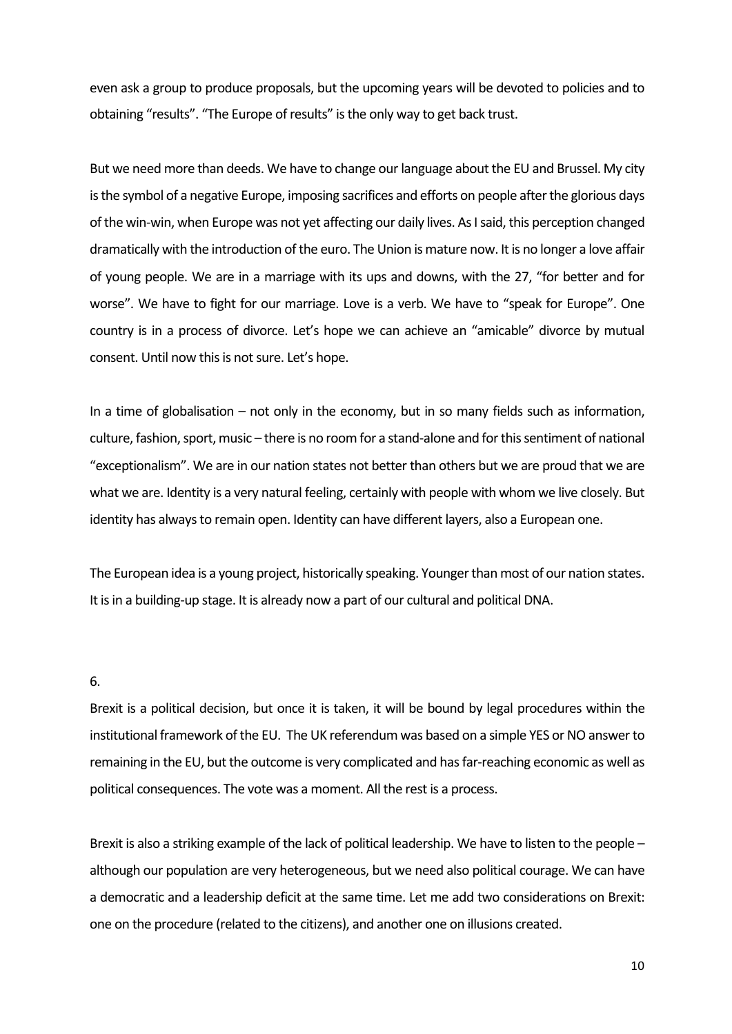even ask a group to produce proposals, but the upcoming years will be devoted to policies and to obtaining "results". "The Europe of results" is the only way to get back trust.

But we need more than deeds. We have to change our language about the EU and Brussel. My city is the symbol of a negative Europe, imposing sacrifices and efforts on people after the glorious days of the win-win, when Europe was not yet affecting our daily lives. As I said, this perception changed dramatically with the introduction of the euro. The Union is mature now. It is no longer a love affair of young people. We are in a marriage with its ups and downs, with the 27, "for better and for worse". We have to fight for our marriage. Love is a verb. We have to "speak for Europe". One country is in a process of divorce. Let's hope we can achieve an "amicable" divorce by mutual consent. Until now this is not sure. Let's hope.

In a time of globalisation  $-$  not only in the economy, but in so many fields such as information, culture, fashion, sport, music – there is no room for a stand-alone and for this sentiment of national "exceptionalism". We are in our nation states not better than others but we are proud that we are what we are. Identity is a very natural feeling, certainly with people with whom we live closely. But identity has always to remain open. Identity can have different layers, also a European one.

The European idea is a young project, historically speaking. Younger than most of our nation states. It is in a building-up stage. It is already now a part of our cultural and political DNA.

## 6.

Brexit is a political decision, but once it is taken, it will be bound by legal procedures within the institutional framework of the EU. The UK referendum was based on a simple YES or NO answer to remaining in the EU, but the outcome is very complicated and has far-reaching economic as well as political consequences. The vote was a moment. All the rest is a process.

Brexit is also a striking example of the lack of political leadership. We have to listen to the people  $$ although our population are very heterogeneous, but we need also political courage. We can have a democratic and a leadership deficit at the same time. Let me add two considerations on Brexit: one on the procedure (related to the citizens), and another one on illusions created.

10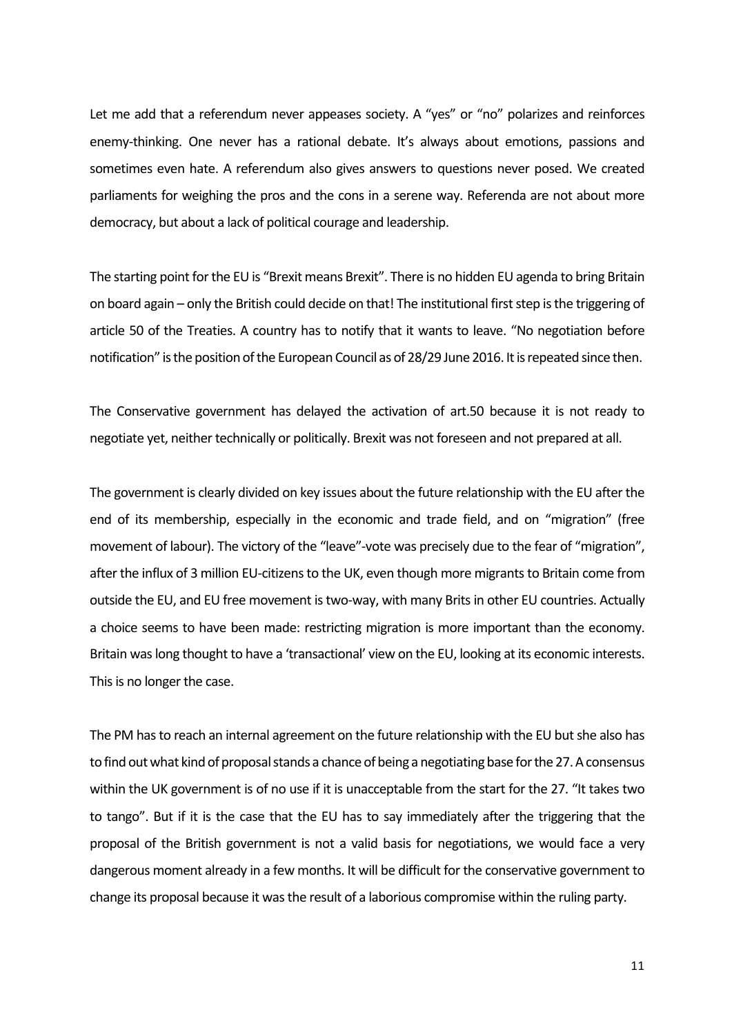Let me add that a referendum never appeases society. A "yes" or "no" polarizes and reinforces enemy-thinking. One never has a rational debate. It's always about emotions, passions and sometimes even hate. A referendum also gives answers to questions never posed. We created parliaments for weighing the pros and the cons in a serene way. Referenda are not about more democracy, but about a lack of political courage and leadership.

The starting point for the EU is "Brexit means Brexit". There is no hidden EU agenda to bring Britain on board again – only the British could decide on that! The institutional first step is the triggering of article 50 of the Treaties. A country has to notify that it wants to leave. "No negotiation before notification" is the position of the European Council as of 28/29 June 2016. It is repeated since then.

The Conservative government has delayed the activation of art.50 because it is not ready to negotiate yet, neither technically or politically. Brexit was not foreseen and not prepared at all.

The government is clearly divided on key issues about the future relationship with the EU after the end of its membership, especially in the economic and trade field, and on "migration" (free movement of labour). The victory of the "leave"-vote was precisely due to the fear of "migration", after the influx of 3 million EU-citizens to the UK, even though more migrants to Britain come from outside the EU, and EU free movement is two-way, with many Brits in other EU countries. Actually a choice seems to have been made: restricting migration is more important than the economy. Britain was long thought to have a 'transactional' view on the EU, looking at its economic interests. This is no longer the case.

The PM has to reach an internal agreement on the future relationship with the EU but she also has to find out what kind of proposal stands a chance of being a negotiating base for the 27. A consensus within the UK government is of no use if it is unacceptable from the start for the 27. "It takes two to tango". But if it is the case that the EU has to say immediately after the triggering that the proposal of the British government is not a valid basis for negotiations, we would face a very dangerous moment already in a few months. It will be difficult for the conservative government to change its proposal because it was the result of a laborious compromise within the ruling party.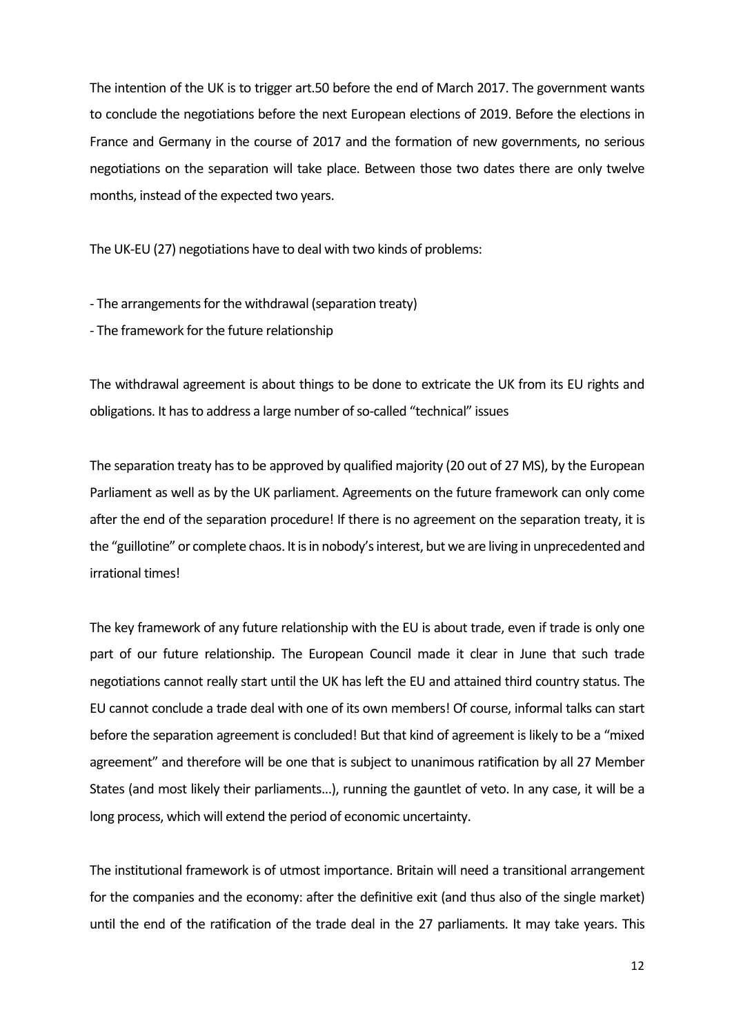The intention of the UK is to trigger art.50 before the end of March 2017. The government wants to conclude the negotiations before the next European elections of 2019. Before the elections in France and Germany in the course of 2017 and the formation of new governments, no serious negotiations on the separation will take place. Between those two dates there are only twelve months, instead of the expected two years.

The UK-EU (27) negotiations have to deal with two kinds of problems:

- The arrangements for the withdrawal (separation treaty)

- The framework for the future relationship

The withdrawal agreement is about things to be done to extricate the UK from its EU rights and obligations. It has to address a large number of so-called "technical" issues

The separation treaty has to be approved by qualified majority (20 out of 27 MS), by the European Parliament as well as by the UK parliament. Agreements on the future framework can only come after the end of the separation procedure! If there is no agreement on the separation treaty, it is the "guillotine" or complete chaos. It is in nobody's interest, but we are living in unprecedented and irrational times!

The key framework of any future relationship with the EU is about trade, even if trade is only one part of our future relationship. The European Council made it clear in June that such trade negotiations cannot really start until the UK has left the EU and attained third country status. The EU cannot conclude a trade deal with one of its own members! Of course, informal talks can start before the separation agreement is concluded! But that kind of agreement is likely to be a "mixed agreement" and therefore will be one that is subject to unanimous ratification by all 27 Member States (and most likely their parliaments...), running the gauntlet of veto. In any case, it will be a long process, which will extend the period of economic uncertainty.

The institutional framework is of utmost importance. Britain will need a transitional arrangement for the companies and the economy: after the definitive exit (and thus also of the single market) until the end of the ratification of the trade deal in the 27 parliaments. It may take years. This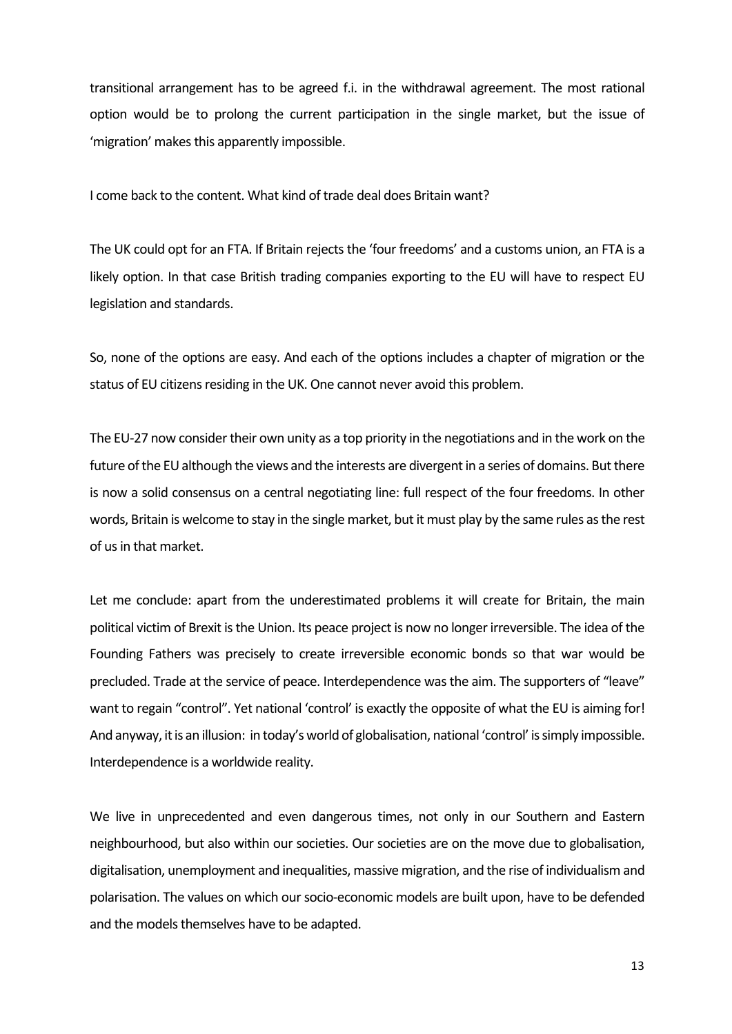transitional arrangement has to be agreed f.i. in the withdrawal agreement. The most rational option would be to prolong the current participation in the single market, but the issue of 'migration' makes this apparently impossible.

I come back to the content. What kind of trade deal does Britain want?

The UK could opt for an FTA. If Britain rejects the 'four freedoms' and a customs union, an FTA is a likely option. In that case British trading companies exporting to the EU will have to respect EU legislation and standards.

So, none of the options are easy. And each of the options includes a chapter of migration or the status of EU citizens residing in the UK. One cannot never avoid this problem.

The EU-27 now consider their own unity as a top priority in the negotiations and in the work on the future of the EU although the views and the interests are divergent in a series of domains. But there is now a solid consensus on a central negotiating line: full respect of the four freedoms. In other words, Britain is welcome to stay in the single market, but it must play by the same rules as the rest of us in that market.

Let me conclude: apart from the underestimated problems it will create for Britain, the main political victim of Brexit is the Union. Its peace project is now no longer irreversible. The idea of the Founding Fathers was precisely to create irreversible economic bonds so that war would be precluded. Trade at the service of peace. Interdependence was the aim. The supporters of "leave" want to regain "control". Yet national 'control' is exactly the opposite of what the EU is aiming for! And anyway, it is an illusion: in today's world of globalisation, national 'control' is simply impossible. Interdependence is a worldwide reality.

We live in unprecedented and even dangerous times, not only in our Southern and Eastern neighbourhood, but also within our societies. Our societies are on the move due to globalisation, digitalisation, unemployment and inequalities, massive migration, and the rise of individualism and polarisation. The values on which our socio-economic models are built upon, have to be defended and the models themselves have to be adapted.